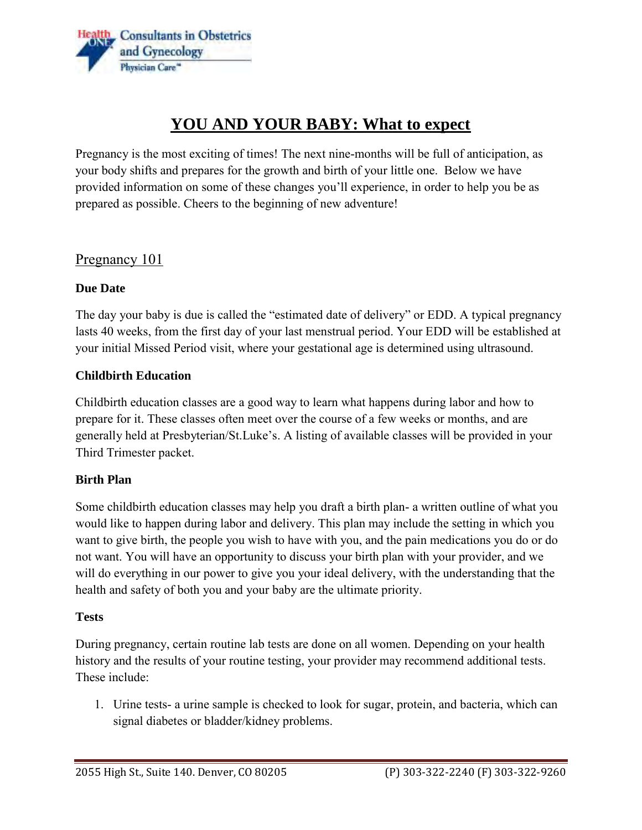

# **YOU AND YOUR BABY: What to expect**

 Pregnancy is the most exciting of times! The next nine-months will be full of anticipation, as your body shifts and prepares for the growth and birth of your little one. Below we have provided information on some of these changes you'll experience, in order to help you be as prepared as possible. Cheers to the beginning of new adventure!

### Pregnancy 101

#### **Due Date**

 lasts 40 weeks, from the first day of your last menstrual period. Your EDD will be established at The day your baby is due is called the "estimated date of delivery" or EDD. A typical pregnancy your initial Missed Period visit, where your gestational age is determined using ultrasound.

#### **Childbirth Education**

 Childbirth education classes are a good way to learn what happens during labor and how to prepare for it. These classes often meet over the course of a few weeks or months, and are generally held at Presbyterian/St.Luke's. A listing of available classes will be provided in your Third Trimester packet.

#### **Birth Plan**

Some childbirth education classes may help you draft a birth plan- a written outline of what you would like to happen during labor and delivery. This plan may include the setting in which you want to give birth, the people you wish to have with you, and the pain medications you do or do not want. You will have an opportunity to discuss your birth plan with your provider, and we will do everything in our power to give you your ideal delivery, with the understanding that the health and safety of both you and your baby are the ultimate priority.

#### **Tests**

During pregnancy, certain routine lab tests are done on all women. Depending on your health history and the results of your routine testing, your provider may recommend additional tests. These include:

1. Urine tests- a urine sample is checked to look for sugar, protein, and bacteria, which can signal diabetes or bladder/kidney problems.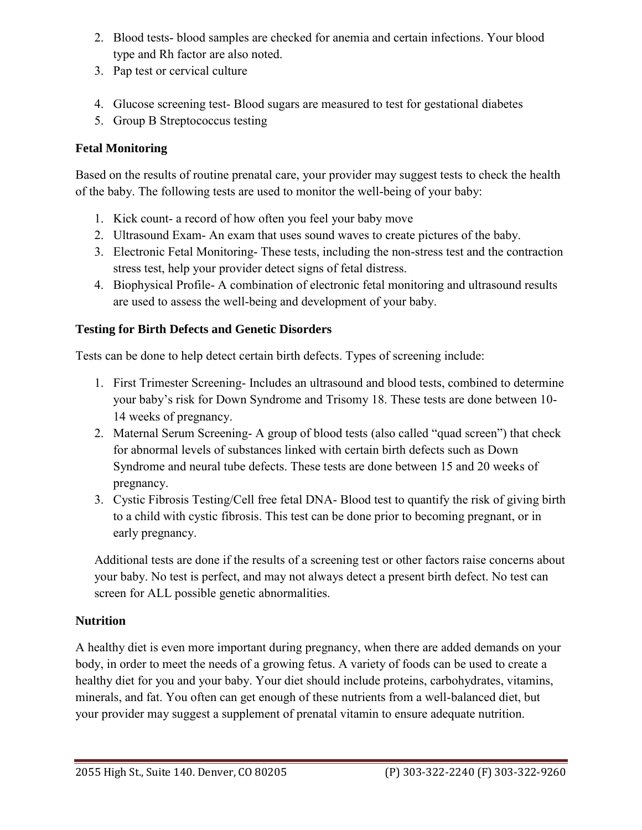- 2. Blood tests- blood samples are checked for anemia and certain infections. Your blood type and Rh factor are also noted.
- 3. Pap test or cervical culture
- 4. Glucose screening test- Blood sugars are measured to test for gestational diabetes
- 5. Group B Streptococcus testing

# **Fetal Monitoring**

Based on the results of routine prenatal care, your provider may suggest tests to check the health of the baby. The following tests are used to monitor the well-being of your baby:

- 1. Kick count- a record of how often you feel your baby move
- 2. Ultrasound Exam- An exam that uses sound waves to create pictures of the baby.
- 3. Electronic Fetal Monitoring-These tests, including the non-stress test and the contraction stress test, help your provider detect signs of fetal distress.
- 4. Biophysical Profile- A combination of electronic fetal monitoring and ultrasound results are used to assess the well-being and development of your baby.

## **Testing for Birth Defects and Genetic Disorders**

Tests can be done to help detect certain birth defects. Types of screening include:

- 1. First Trimester Screening-Includes an ultrasound and blood tests, combined to determine your baby's risk for Down Syndrome and Trisomy 18. These tests are done between 10- 14 weeks of pregnancy.
- 2. Maternal Serum Screening- A group of blood tests (also called "quad screen") that check for abnormal levels of substances linked with certain birth defects such as Down Syndrome and neural tube defects. These tests are done between 15 and 20 weeks of pregnancy.
- 3. Cystic Fibrosis Testing/Cell free fetal DNA- Blood test to quantify the risk of giving birth to a child with cystic fibrosis. This test can be done prior to becoming pregnant, or in early pregnancy.

Additional tests are done if the results of a screening test or other factors raise concerns about your baby. No test is perfect, and may not always detect a present birth defect. No test can screen for ALL possible genetic abnormalities.

### **Nutrition**

 A healthy diet is even more important during pregnancy, when there are added demands on your body, in order to meet the needs of a growing fetus. A variety of foods can be used to create a healthy diet for you and your baby. Your diet should include proteins, carbohydrates, vitamins, minerals, and fat. You often can get enough of these nutrients from a well-balanced diet, but your provider may suggest a supplement of prenatal vitamin to ensure adequate nutrition.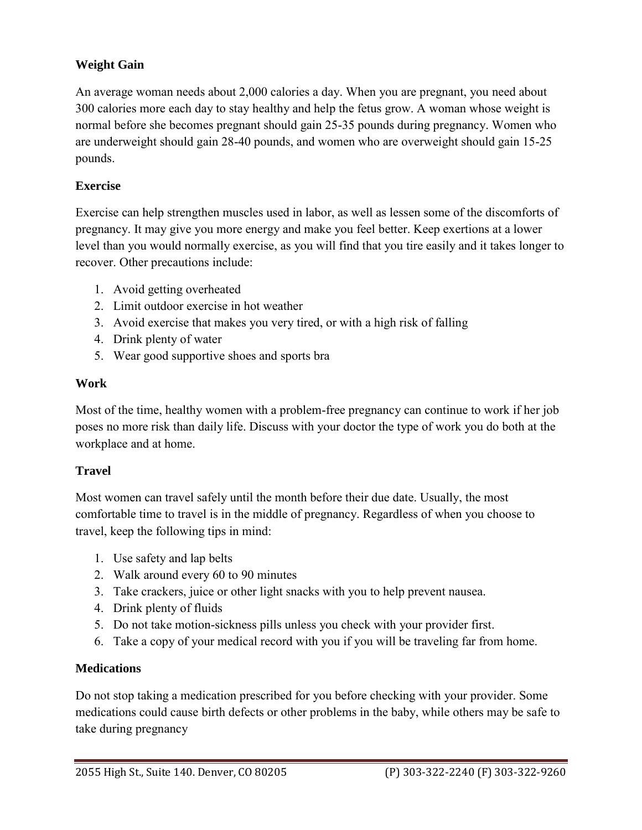### **Weight Gain**

An average woman needs about 2,000 calories a day. When you are pregnant, you need about 300 calories more each day to stay healthy and help the fetus grow. A woman whose weight is normal before she becomes pregnant should gain 25-35 pounds during pregnancy. Women who are underweight should gain 28-40 pounds, and women who are overweight should gain 15-25 pounds.

### **Exercise**

Exercise can help strengthen muscles used in labor, as well as lessen some of the discomforts of pregnancy. It may give you more energy and make you feel better. Keep exertions at a lower level than you would normally exercise, as you will find that you tire easily and it takes longer to recover. Other precautions include:

- 1. Avoid getting overheated
- 2. Limit outdoor exercise in hot weather
- 3. Avoid exercise that makes you very tired, or with a high risk of falling
- 4. Drink plenty of water
- 5. Wear good supportive shoes and sports bra

### **Work**

Most of the time, healthy women with a problem-free pregnancy can continue to work if her job poses no more risk than daily life. Discuss with your doctor the type of work you do both at the workplace and at home.

### **Travel**

Most women can travel safely until the month before their due date. Usually, the most comfortable time to travel is in the middle of pregnancy. Regardless of when you choose to travel, keep the following tips in mind:

- 1. Use safety and lap belts
- 2. Walk around every 60 to 90 minutes
- 3. Take crackers, juice or other light snacks with you to help prevent nausea.
- 4. Drink plenty of fluids
- 5. Do not take motion-sickness pills unless you check with your provider first.
- 6. Take a copy of your medical record with you if you will be traveling far from home.

### **Medications**

 Do not stop taking a medication prescribed for you before checking with your provider. Some medications could cause birth defects or other problems in the baby, while others may be safe to take during pregnancy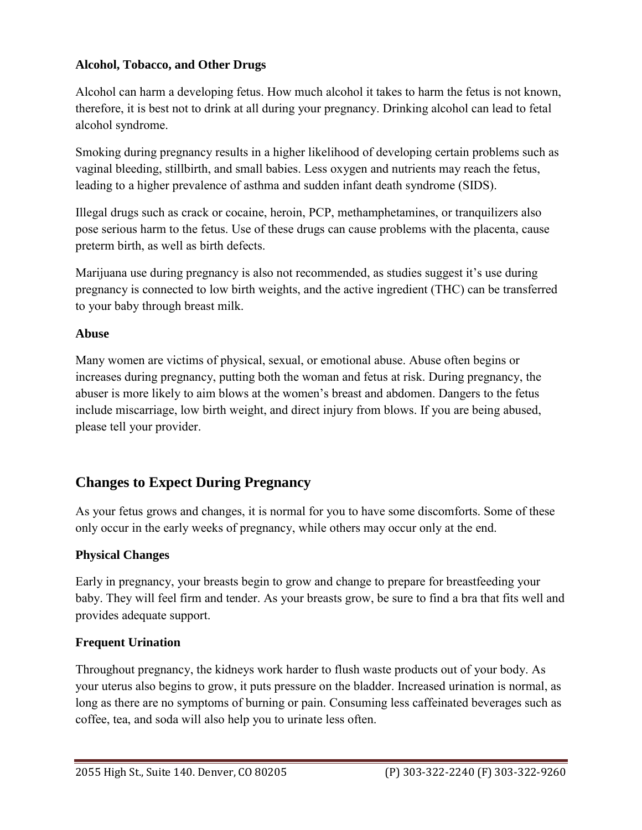### **Alcohol, Tobacco, and Other Drugs**

Alcohol can harm a developing fetus. How much alcohol it takes to harm the fetus is not known, therefore, it is best not to drink at all during your pregnancy. Drinking alcohol can lead to fetal alcohol syndrome.

Smoking during pregnancy results in a higher likelihood of developing certain problems such as vaginal bleeding, stillbirth, and small babies. Less oxygen and nutrients may reach the fetus, leading to a higher prevalence of asthma and sudden infant death syndrome (SIDS).

Illegal drugs such as crack or cocaine, heroin, PCP, methamphetamines, or tranquilizers also pose serious harm to the fetus. Use of these drugs can cause problems with the placenta, cause preterm birth, as well as birth defects.

Marijuana use during pregnancy is also not recommended, as studies suggest it's use during pregnancy is connected to low birth weights, and the active ingredient (THC) can be transferred to your baby through breast milk.

### **Abuse**

 please tell your provider. Many women are victims of physical, sexual, or emotional abuse. Abuse often begins or increases during pregnancy, putting both the woman and fetus at risk. During pregnancy, the abuser is more likely to aim blows at the women's breast and abdomen. Dangers to the fetus include miscarriage, low birth weight, and direct injury from blows. If you are being abused,

# **Changes to Expect During Pregnancy**

 only occur in the early weeks of pregnancy, while others may occur only at the end. As your fetus grows and changes, it is normal for you to have some discomforts. Some of these

### **Physical Changes**

Early in pregnancy, your breasts begin to grow and change to prepare for breastfeeding your baby. They will feel firm and tender. As your breasts grow, be sure to find a bra that fits well and provides adequate support.

### **Frequent Urination**

Throughout pregnancy, the kidneys work harder to flush waste products out of your body. As your uterus also begins to grow, it puts pressure on the bladder. Increased urination is normal, as long as there are no symptoms of burning or pain. Consuming less caffeinated beverages such as coffee, tea, and soda will also help you to urinate less often.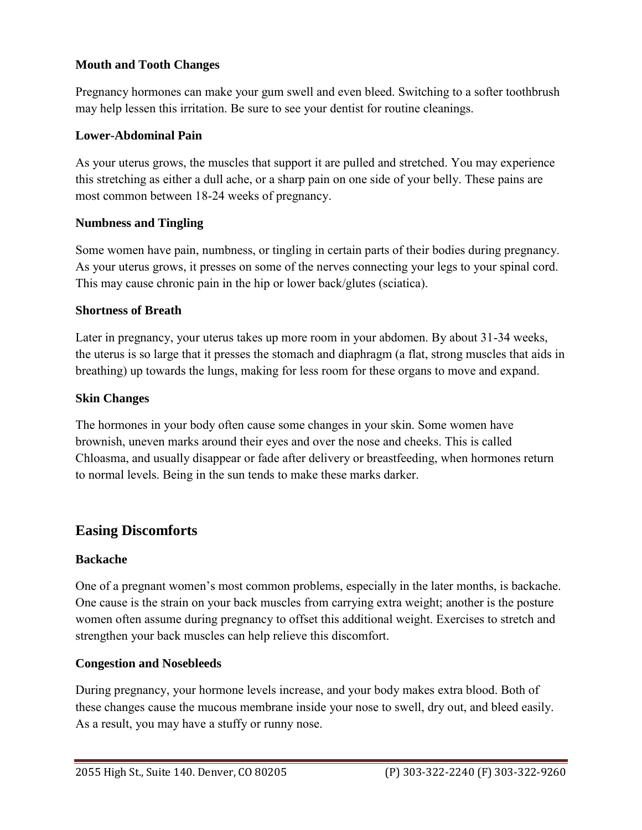### **Mouth and Tooth Changes**

Pregnancy hormones can make your gum swell and even bleed. Switching to a softer toothbrush may help lessen this irritation. Be sure to see your dentist for routine cleanings.

#### **Lower-Abdominal Pain**

 As your uterus grows, the muscles that support it are pulled and stretched. You may experience this stretching as either a dull ache, or a sharp pain on one side of your belly. These pains are most common between 18-24 weeks of pregnancy.

#### **Numbness and Tingling**

Some women have pain, numbness, or tingling in certain parts of their bodies during pregnancy. As your uterus grows, it presses on some of the nerves connecting your legs to your spinal cord. This may cause chronic pain in the hip or lower back/glutes (sciatica).

#### **Shortness of Breath**

Later in pregnancy, your uterus takes up more room in your abdomen. By about 31-34 weeks, the uterus is so large that it presses the stomach and diaphragm (a flat, strong muscles that aids in breathing) up towards the lungs, making for less room for these organs to move and expand.

#### **Skin Changes**

The hormones in your body often cause some changes in your skin. Some women have brownish, uneven marks around their eyes and over the nose and cheeks. This is called Chloasma, and usually disappear or fade after delivery or breastfeeding, when hormones return to normal levels. Being in the sun tends to make these marks darker.

### **Easing Discomforts**

#### **Backache**

One of a pregnant women's most common problems, especially in the later months, is backache. One cause is the strain on your back muscles from carrying extra weight; another is the posture women often assume during pregnancy to offset this additional weight. Exercises to stretch and strengthen your back muscles can help relieve this discomfort.

#### **Congestion and Nosebleeds**

 As a result, you may have a stuffy or runny nose. During pregnancy, your hormone levels increase, and your body makes extra blood. Both of these changes cause the mucous membrane inside your nose to swell, dry out, and bleed easily.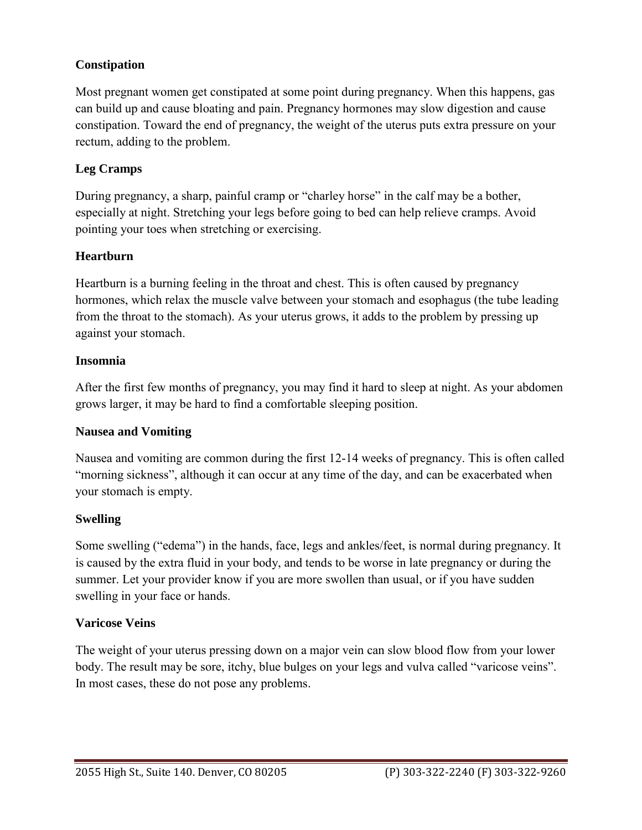### **Constipation**

Most pregnant women get constipated at some point during pregnancy. When this happens, gas can build up and cause bloating and pain. Pregnancy hormones may slow digestion and cause constipation. Toward the end of pregnancy, the weight of the uterus puts extra pressure on your rectum, adding to the problem.

### **Leg Cramps**

 During pregnancy, a sharp, painful cramp or "charley horse" in the calf may be a bother, especially at night. Stretching your legs before going to bed can help relieve cramps. Avoid pointing your toes when stretching or exercising.

#### **Heartburn**

Heartburn is a burning feeling in the throat and chest. This is often caused by pregnancy hormones, which relax the muscle valve between your stomach and esophagus (the tube leading from the throat to the stomach). As your uterus grows, it adds to the problem by pressing up against your stomach.

#### **Insomnia**

After the first few months of pregnancy, you may find it hard to sleep at night. As your abdomen grows larger, it may be hard to find a comfortable sleeping position.

#### **Nausea and Vomiting**

Nausea and vomiting are common during the first 12-14 weeks of pregnancy. This is often called "morning sickness", although it can occur at any time of the day, and can be exacerbated when your stomach is empty.

#### **Swelling**

Some swelling ("edema") in the hands, face, legs and ankles/feet, is normal during pregnancy. It is caused by the extra fluid in your body, and tends to be worse in late pregnancy or during the summer. Let your provider know if you are more swollen than usual, or if you have sudden swelling in your face or hands.

#### **Varicose Veins**

The weight of your uterus pressing down on a major vein can slow blood flow from your lower body. The result may be sore, itchy, blue bulges on your legs and vulva called "varicose veins". In most cases, these do not pose any problems.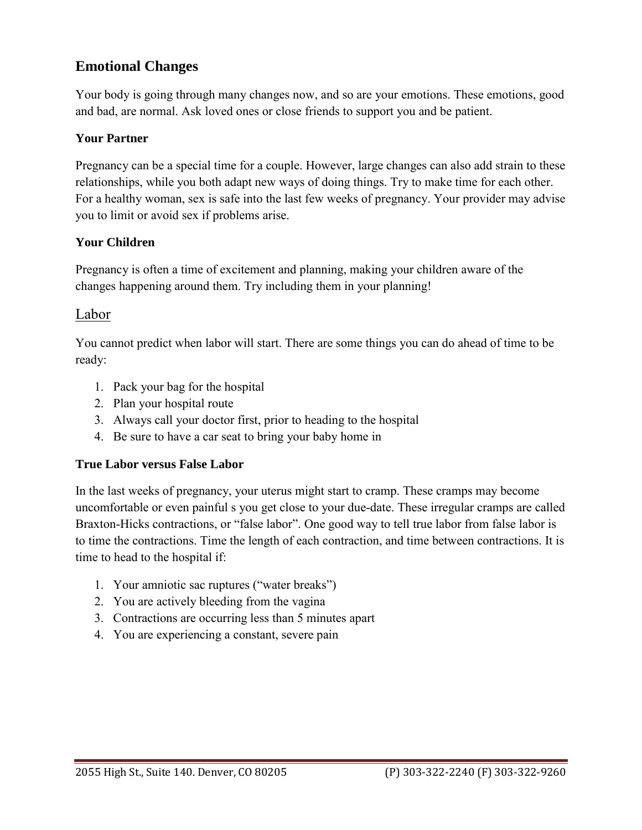# **Emotional Changes**

 and bad, are normal. Ask loved ones or close friends to support you and be patient. Your body is going through many changes now, and so are your emotions. These emotions, good

### **Your Partner**

Pregnancy can be a special time for a couple. However, large changes can also add strain to these relationships, while you both adapt new ways of doing things. Try to make time for each other. For a healthy woman, sex is safe into the last few weeks of pregnancy. Your provider may advise you to limit or avoid sex if problems arise.

#### **Your Children**

Pregnancy is often a time of excitement and planning, making your children aware of the changes happening around them. Try including them in your planning!

### Labor

You cannot predict when labor will start. There are some things you can do ahead of time to be ready:

- 1. Pack your bag for the hospital
- 2. Plan your hospital route
- 3. Always call your doctor first, prior to heading to the hospital
- 4. Be sure to have a car seat to bring your baby home in

#### **True Labor versus False Labor**

 uncomfortable or even painful s you get close to your due-date. These irregular cramps are called In the last weeks of pregnancy, your uterus might start to cramp. These cramps may become Braxton-Hicks contractions, or "false labor". One good way to tell true labor from false labor is to time the contractions. Time the length of each contraction, and time between contractions. It is time to head to the hospital if:

- 1. Your amniotic sac ruptures ("water breaks")
- 2. You are actively bleeding from the vagina
- 3. Contractions are occurring less than 5 minutes apart
- 4. You are experiencing a constant, severe pain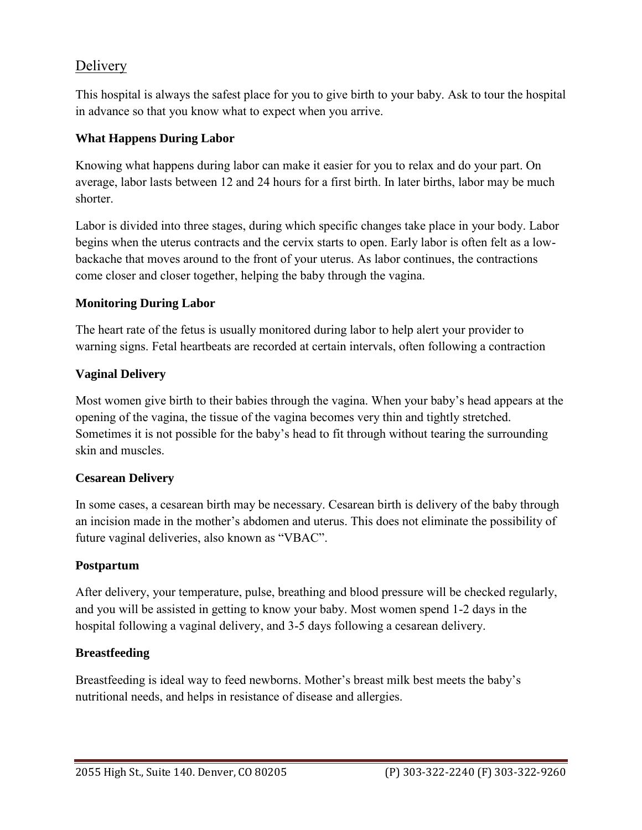# Delivery

This hospital is always the safest place for you to give birth to your baby. Ask to tour the hospital in advance so that you know what to expect when you arrive.

### **What Happens During Labor**

Knowing what happens during labor can make it easier for you to relax and do your part. On average, labor lasts between 12 and 24 hours for a first birth. In later births, labor may be much shorter.

Labor is divided into three stages, during which specific changes take place in your body. Labor begins when the uterus contracts and the cervix starts to open. Early labor is often felt as a lowbackache that moves around to the front of your uterus. As labor continues, the contractions come closer and closer together, helping the baby through the vagina.

### **Monitoring During Labor**

 warning signs. Fetal heartbeats are recorded at certain intervals, often following a contraction The heart rate of the fetus is usually monitored during labor to help alert your provider to

### **Vaginal Delivery**

Most women give birth to their babies through the vagina. When your baby's head appears at the opening of the vagina, the tissue of the vagina becomes very thin and tightly stretched. Sometimes it is not possible for the baby's head to fit through without tearing the surrounding skin and muscles.

### **Cesarean Delivery**

In some cases, a cesarean birth may be necessary. Cesarean birth is delivery of the baby through an incision made in the mother's abdomen and uterus. This does not eliminate the possibility of future vaginal deliveries, also known as "VBAC".

### **Postpartum**

After delivery, your temperature, pulse, breathing and blood pressure will be checked regularly, and you will be assisted in getting to know your baby. Most women spend 1-2 days in the hospital following a vaginal delivery, and 3-5 days following a cesarean delivery.

### **Breastfeeding**

Breastfeeding is ideal way to feed newborns. Mother's breast milk best meets the baby's nutritional needs, and helps in resistance of disease and allergies.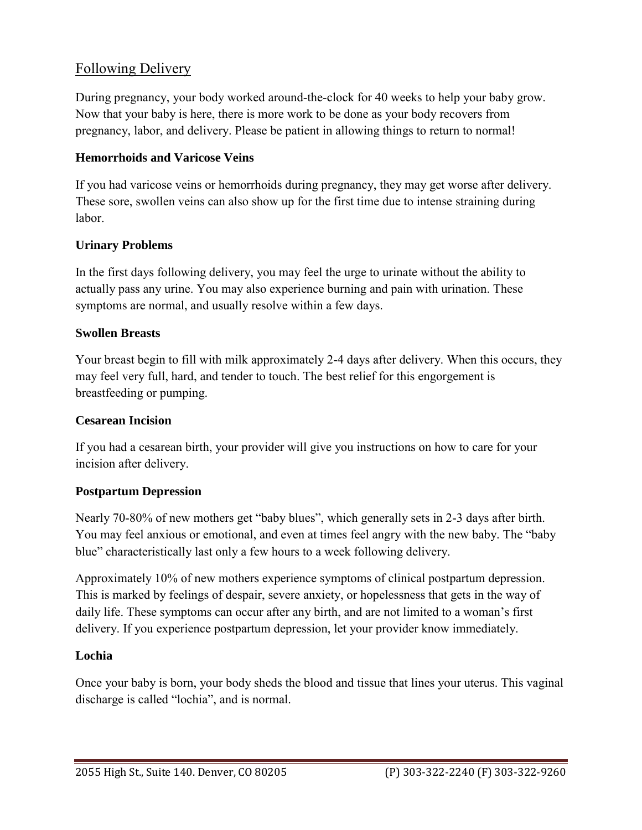# Following Delivery

During pregnancy, your body worked around-the-clock for 40 weeks to help your baby grow. Now that your baby is here, there is more work to be done as your body recovers from pregnancy, labor, and delivery. Please be patient in allowing things to return to normal!

#### **Hemorrhoids and Varicose Veins**

If you had varicose veins or hemorrhoids during pregnancy, they may get worse after delivery. These sore, swollen veins can also show up for the first time due to intense straining during labor.

#### **Urinary Problems**

In the first days following delivery, you may feel the urge to urinate without the ability to actually pass any urine. You may also experience burning and pain with urination. These symptoms are normal, and usually resolve within a few days.

#### **Swollen Breasts**

Your breast begin to fill with milk approximately 2-4 days after delivery. When this occurs, they may feel very full, hard, and tender to touch. The best relief for this engorgement is breastfeeding or pumping.

#### **Cesarean Incision**

 If you had a cesarean birth, your provider will give you instructions on how to care for your incision after delivery.

#### **Postpartum Depression**

 You may feel anxious or emotional, and even at times feel angry with the new baby. The "baby blue" characteristically last only a few hours to a week following delivery. Nearly 70-80% of new mothers get "baby blues", which generally sets in 2-3 days after birth.

Approximately 10% of new mothers experience symptoms of clinical postpartum depression. This is marked by feelings of despair, severe anxiety, or hopelessness that gets in the way of daily life. These symptoms can occur after any birth, and are not limited to a woman's first delivery. If you experience postpartum depression, let your provider know immediately.

#### **Lochia**

Once your baby is born, your body sheds the blood and tissue that lines your uterus. This vaginal discharge is called "lochia", and is normal.